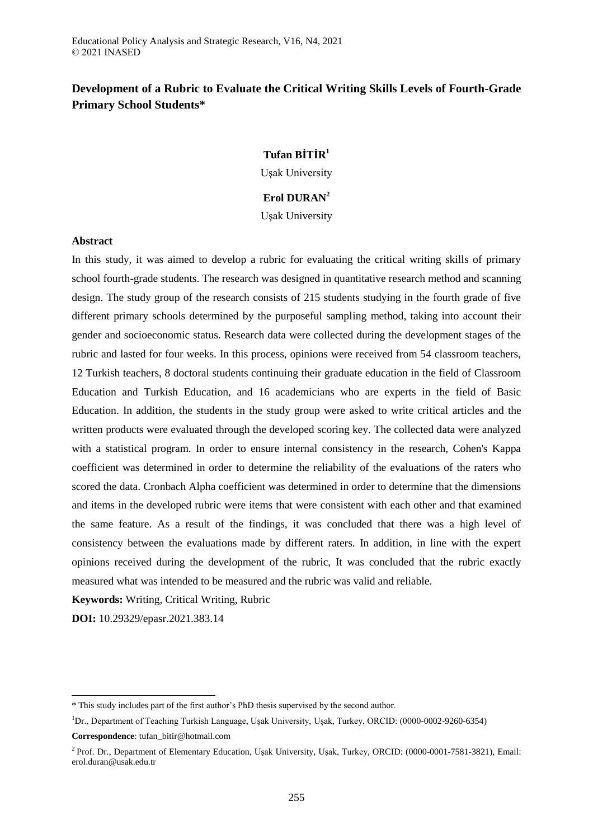# **Development of a Rubric to Evaluate the Critical Writing Skills Levels of Fourth-Grade Primary School Students\***

# **Tufan BİTİR<sup>1</sup>**

Uşak University

# **Erol DURAN<sup>2</sup>**

Uşak University

## **Abstract**

In this study, it was aimed to develop a rubric for evaluating the critical writing skills of primary school fourth-grade students. The research was designed in quantitative research method and scanning design. The study group of the research consists of 215 students studying in the fourth grade of five different primary schools determined by the purposeful sampling method, taking into account their gender and socioeconomic status. Research data were collected during the development stages of the rubric and lasted for four weeks. In this process, opinions were received from 54 classroom teachers, 12 Turkish teachers, 8 doctoral students continuing their graduate education in the field of Classroom Education and Turkish Education, and 16 academicians who are experts in the field of Basic Education. In addition, the students in the study group were asked to write critical articles and the written products were evaluated through the developed scoring key. The collected data were analyzed with a statistical program. In order to ensure internal consistency in the research, Cohen's Kappa coefficient was determined in order to determine the reliability of the evaluations of the raters who scored the data. Cronbach Alpha coefficient was determined in order to determine that the dimensions and items in the developed rubric were items that were consistent with each other and that examined the same feature. As a result of the findings, it was concluded that there was a high level of consistency between the evaluations made by different raters. In addition, in line with the expert opinions received during the development of the rubric, It was concluded that the rubric exactly measured what was intended to be measured and the rubric was valid and reliable.

**Keywords:** Writing, Critical Writing, Rubric

**DOI:** 10.29329/epasr.2021.383.14

 $\overline{a}$ 

<sup>\*</sup> This study includes part of the first author's PhD thesis supervised by the second author.

<sup>&</sup>lt;sup>1</sup>Dr., Department of Teaching Turkish Language, Uşak University, Uşak, Turkey, ORCID: (0000-0002-9260-6354)

**Correspondence**: tufan\_bitir@hotmail.com

<sup>&</sup>lt;sup>2</sup> Prof. Dr., Department of Elementary Education, Usak University, Usak, Turkey, ORCID: (0000-0001-7581-3821), Email: erol.duran@usak.edu.tr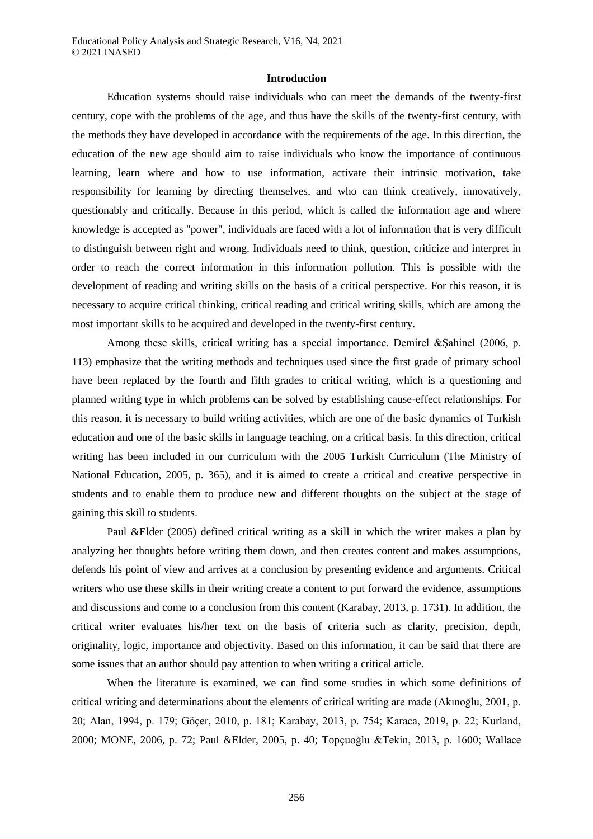#### **Introduction**

Education systems should raise individuals who can meet the demands of the twenty-first century, cope with the problems of the age, and thus have the skills of the twenty-first century, with the methods they have developed in accordance with the requirements of the age. In this direction, the education of the new age should aim to raise individuals who know the importance of continuous learning, learn where and how to use information, activate their intrinsic motivation, take responsibility for learning by directing themselves, and who can think creatively, innovatively, questionably and critically. Because in this period, which is called the information age and where knowledge is accepted as "power", individuals are faced with a lot of information that is very difficult to distinguish between right and wrong. Individuals need to think, question, criticize and interpret in order to reach the correct information in this information pollution. This is possible with the development of reading and writing skills on the basis of a critical perspective. For this reason, it is necessary to acquire critical thinking, critical reading and critical writing skills, which are among the most important skills to be acquired and developed in the twenty-first century.

Among these skills, critical writing has a special importance. Demirel &Şahinel (2006, p. 113) emphasize that the writing methods and techniques used since the first grade of primary school have been replaced by the fourth and fifth grades to critical writing, which is a questioning and planned writing type in which problems can be solved by establishing cause-effect relationships. For this reason, it is necessary to build writing activities, which are one of the basic dynamics of Turkish education and one of the basic skills in language teaching, on a critical basis. In this direction, critical writing has been included in our curriculum with the 2005 Turkish Curriculum (The Ministry of National Education, 2005, p. 365), and it is aimed to create a critical and creative perspective in students and to enable them to produce new and different thoughts on the subject at the stage of gaining this skill to students.

Paul &Elder (2005) defined critical writing as a skill in which the writer makes a plan by analyzing her thoughts before writing them down, and then creates content and makes assumptions, defends his point of view and arrives at a conclusion by presenting evidence and arguments. Critical writers who use these skills in their writing create a content to put forward the evidence, assumptions and discussions and come to a conclusion from this content (Karabay, 2013, p. 1731). In addition, the critical writer evaluates his/her text on the basis of criteria such as clarity, precision, depth, originality, logic, importance and objectivity. Based on this information, it can be said that there are some issues that an author should pay attention to when writing a critical article.

When the literature is examined, we can find some studies in which some definitions of critical writing and determinations about the elements of critical writing are made (Akınoğlu, 2001, p. 20; Alan, 1994, p. 179; Göçer, 2010, p. 181; Karabay, 2013, p. 754; Karaca, 2019, p. 22; Kurland, 2000; MONE, 2006, p. 72; Paul &Elder, 2005, p. 40; Topçuoğlu &Tekin, 2013, p. 1600; Wallace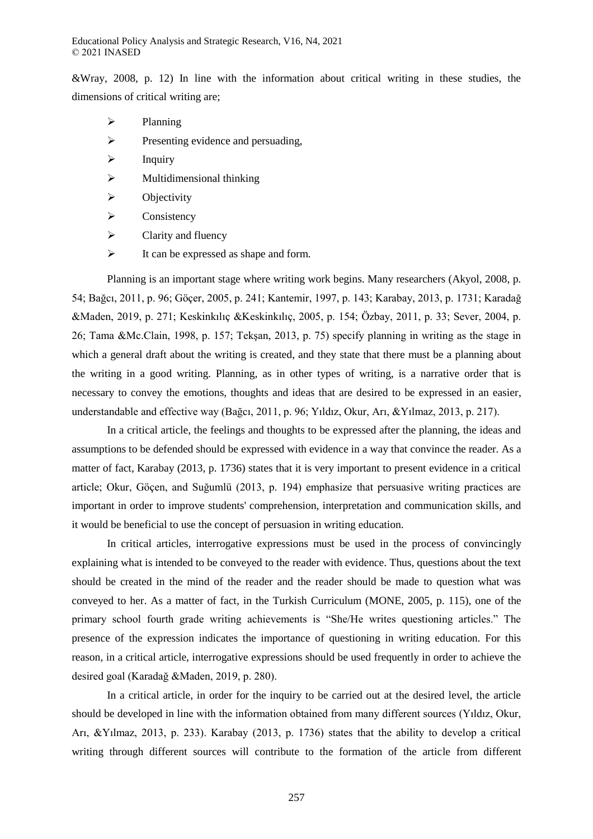&Wray, 2008, p. 12) In line with the information about critical writing in these studies, the dimensions of critical writing are;

- $\triangleright$  Planning
- $\triangleright$  Presenting evidence and persuading,
- $\triangleright$  Inquiry
- $\triangleright$  Multidimensional thinking
- $\triangleright$  Objectivity
- $\triangleright$  Consistency
- $\triangleright$  Clarity and fluency
- $\triangleright$  It can be expressed as shape and form.

Planning is an important stage where writing work begins. Many researchers (Akyol, 2008, p. 54; Bağcı, 2011, p. 96; Göçer, 2005, p. 241; Kantemir, 1997, p. 143; Karabay, 2013, p. 1731; Karadağ &Maden, 2019, p. 271; Keskinkılıç &Keskinkılıç, 2005, p. 154; Özbay, 2011, p. 33; Sever, 2004, p. 26; Tama &Mc.Clain, 1998, p. 157; Tekşan, 2013, p. 75) specify planning in writing as the stage in which a general draft about the writing is created, and they state that there must be a planning about the writing in a good writing. Planning, as in other types of writing, is a narrative order that is necessary to convey the emotions, thoughts and ideas that are desired to be expressed in an easier, understandable and effective way (Bağcı, 2011, p. 96; Yıldız, Okur, Arı, &Yılmaz, 2013, p. 217).

In a critical article, the feelings and thoughts to be expressed after the planning, the ideas and assumptions to be defended should be expressed with evidence in a way that convince the reader. As a matter of fact, Karabay (2013, p. 1736) states that it is very important to present evidence in a critical article; Okur, Göçen, and Suğumlü (2013, p. 194) emphasize that persuasive writing practices are important in order to improve students' comprehension, interpretation and communication skills, and it would be beneficial to use the concept of persuasion in writing education.

In critical articles, interrogative expressions must be used in the process of convincingly explaining what is intended to be conveyed to the reader with evidence. Thus, questions about the text should be created in the mind of the reader and the reader should be made to question what was conveyed to her. As a matter of fact, in the Turkish Curriculum (MONE, 2005, p. 115), one of the primary school fourth grade writing achievements is "She/He writes questioning articles." The presence of the expression indicates the importance of questioning in writing education. For this reason, in a critical article, interrogative expressions should be used frequently in order to achieve the desired goal (Karadağ &Maden, 2019, p. 280).

In a critical article, in order for the inquiry to be carried out at the desired level, the article should be developed in line with the information obtained from many different sources (Yıldız, Okur, Arı, &Yılmaz, 2013, p. 233). Karabay (2013, p. 1736) states that the ability to develop a critical writing through different sources will contribute to the formation of the article from different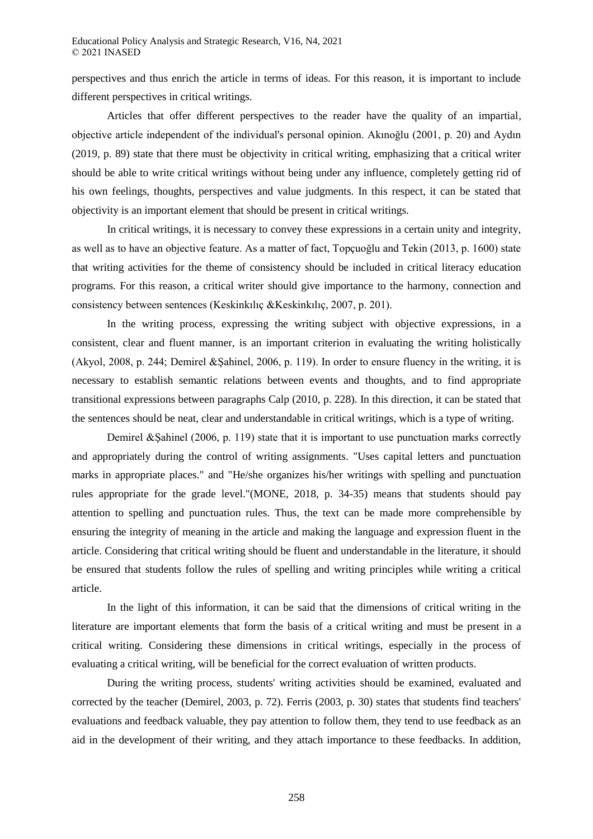perspectives and thus enrich the article in terms of ideas. For this reason, it is important to include different perspectives in critical writings.

Articles that offer different perspectives to the reader have the quality of an impartial, objective article independent of the individual's personal opinion. Akınoğlu (2001, p. 20) and Aydın (2019, p. 89) state that there must be objectivity in critical writing, emphasizing that a critical writer should be able to write critical writings without being under any influence, completely getting rid of his own feelings, thoughts, perspectives and value judgments. In this respect, it can be stated that objectivity is an important element that should be present in critical writings.

In critical writings, it is necessary to convey these expressions in a certain unity and integrity, as well as to have an objective feature. As a matter of fact, Topçuoğlu and Tekin (2013, p. 1600) state that writing activities for the theme of consistency should be included in critical literacy education programs. For this reason, a critical writer should give importance to the harmony, connection and consistency between sentences (Keskinkılıç &Keskinkılıç, 2007, p. 201).

In the writing process, expressing the writing subject with objective expressions, in a consistent, clear and fluent manner, is an important criterion in evaluating the writing holistically (Akyol, 2008, p. 244; Demirel &Şahinel, 2006, p. 119). In order to ensure fluency in the writing, it is necessary to establish semantic relations between events and thoughts, and to find appropriate transitional expressions between paragraphs Calp (2010, p. 228). In this direction, it can be stated that the sentences should be neat, clear and understandable in critical writings, which is a type of writing.

Demirel & Sahinel (2006, p. 119) state that it is important to use punctuation marks correctly and appropriately during the control of writing assignments. "Uses capital letters and punctuation marks in appropriate places." and "He/she organizes his/her writings with spelling and punctuation rules appropriate for the grade level."(MONE, 2018, p. 34-35) means that students should pay attention to spelling and punctuation rules. Thus, the text can be made more comprehensible by ensuring the integrity of meaning in the article and making the language and expression fluent in the article. Considering that critical writing should be fluent and understandable in the literature, it should be ensured that students follow the rules of spelling and writing principles while writing a critical article.

In the light of this information, it can be said that the dimensions of critical writing in the literature are important elements that form the basis of a critical writing and must be present in a critical writing. Considering these dimensions in critical writings, especially in the process of evaluating a critical writing, will be beneficial for the correct evaluation of written products.

During the writing process, students' writing activities should be examined, evaluated and corrected by the teacher (Demirel, 2003, p. 72). Ferris (2003, p. 30) states that students find teachers' evaluations and feedback valuable, they pay attention to follow them, they tend to use feedback as an aid in the development of their writing, and they attach importance to these feedbacks. In addition,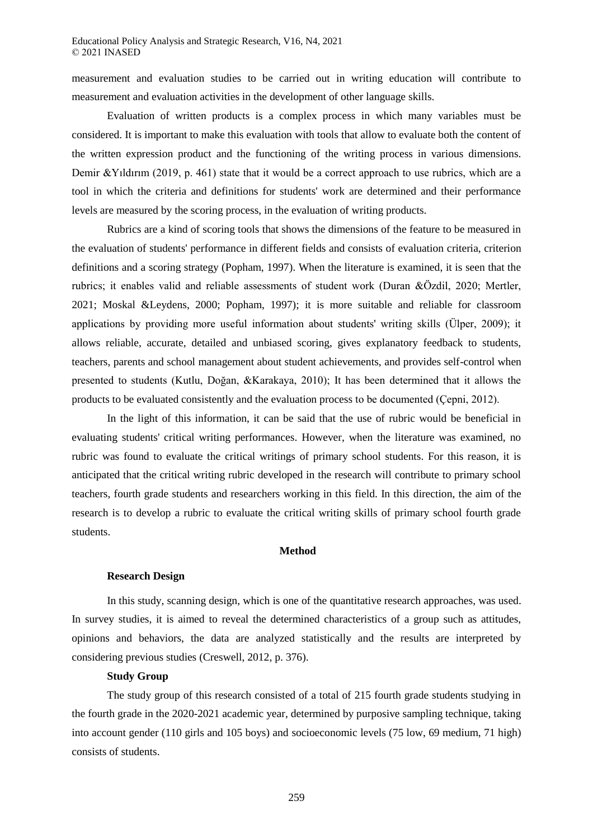measurement and evaluation studies to be carried out in writing education will contribute to measurement and evaluation activities in the development of other language skills.

Evaluation of written products is a complex process in which many variables must be considered. It is important to make this evaluation with tools that allow to evaluate both the content of the written expression product and the functioning of the writing process in various dimensions. Demir &Yıldırım (2019, p. 461) state that it would be a correct approach to use rubrics, which are a tool in which the criteria and definitions for students' work are determined and their performance levels are measured by the scoring process, in the evaluation of writing products.

Rubrics are a kind of scoring tools that shows the dimensions of the feature to be measured in the evaluation of students' performance in different fields and consists of evaluation criteria, criterion definitions and a scoring strategy (Popham, 1997). When the literature is examined, it is seen that the rubrics; it enables valid and reliable assessments of student work (Duran &Özdil, 2020; Mertler, 2021; Moskal &Leydens, 2000; Popham, 1997); it is more suitable and reliable for classroom applications by providing more useful information about students' writing skills (Ülper, 2009); it allows reliable, accurate, detailed and unbiased scoring, gives explanatory feedback to students, teachers, parents and school management about student achievements, and provides self-control when presented to students (Kutlu, Doğan, &Karakaya, 2010); It has been determined that it allows the products to be evaluated consistently and the evaluation process to be documented (Çepni, 2012).

In the light of this information, it can be said that the use of rubric would be beneficial in evaluating students' critical writing performances. However, when the literature was examined, no rubric was found to evaluate the critical writings of primary school students. For this reason, it is anticipated that the critical writing rubric developed in the research will contribute to primary school teachers, fourth grade students and researchers working in this field. In this direction, the aim of the research is to develop a rubric to evaluate the critical writing skills of primary school fourth grade students.

#### **Method**

#### **Research Design**

In this study, scanning design, which is one of the quantitative research approaches, was used. In survey studies, it is aimed to reveal the determined characteristics of a group such as attitudes, opinions and behaviors, the data are analyzed statistically and the results are interpreted by considering previous studies (Creswell, 2012, p. 376).

#### **Study Group**

The study group of this research consisted of a total of 215 fourth grade students studying in the fourth grade in the 2020-2021 academic year, determined by purposive sampling technique, taking into account gender (110 girls and 105 boys) and socioeconomic levels (75 low, 69 medium, 71 high) consists of students.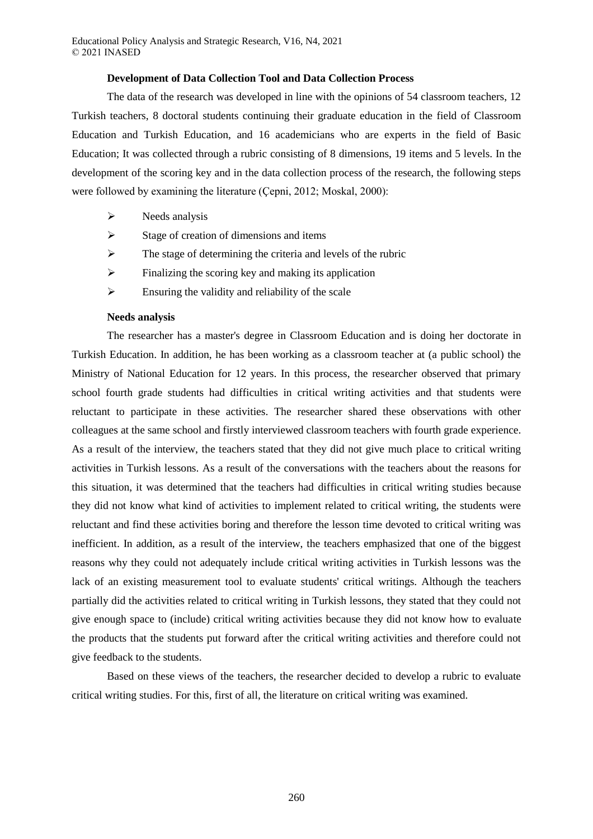## **Development of Data Collection Tool and Data Collection Process**

The data of the research was developed in line with the opinions of 54 classroom teachers, 12 Turkish teachers, 8 doctoral students continuing their graduate education in the field of Classroom Education and Turkish Education, and 16 academicians who are experts in the field of Basic Education; It was collected through a rubric consisting of 8 dimensions, 19 items and 5 levels. In the development of the scoring key and in the data collection process of the research, the following steps were followed by examining the literature (Çepni, 2012; Moskal, 2000):

- $\triangleright$  Needs analysis
- $\triangleright$  Stage of creation of dimensions and items
- $\triangleright$  The stage of determining the criteria and levels of the rubric
- $\triangleright$  Finalizing the scoring key and making its application
- $\triangleright$  Ensuring the validity and reliability of the scale

## **Needs analysis**

The researcher has a master's degree in Classroom Education and is doing her doctorate in Turkish Education. In addition, he has been working as a classroom teacher at (a public school) the Ministry of National Education for 12 years. In this process, the researcher observed that primary school fourth grade students had difficulties in critical writing activities and that students were reluctant to participate in these activities. The researcher shared these observations with other colleagues at the same school and firstly interviewed classroom teachers with fourth grade experience. As a result of the interview, the teachers stated that they did not give much place to critical writing activities in Turkish lessons. As a result of the conversations with the teachers about the reasons for this situation, it was determined that the teachers had difficulties in critical writing studies because they did not know what kind of activities to implement related to critical writing, the students were reluctant and find these activities boring and therefore the lesson time devoted to critical writing was inefficient. In addition, as a result of the interview, the teachers emphasized that one of the biggest reasons why they could not adequately include critical writing activities in Turkish lessons was the lack of an existing measurement tool to evaluate students' critical writings. Although the teachers partially did the activities related to critical writing in Turkish lessons, they stated that they could not give enough space to (include) critical writing activities because they did not know how to evaluate the products that the students put forward after the critical writing activities and therefore could not give feedback to the students.

Based on these views of the teachers, the researcher decided to develop a rubric to evaluate critical writing studies. For this, first of all, the literature on critical writing was examined.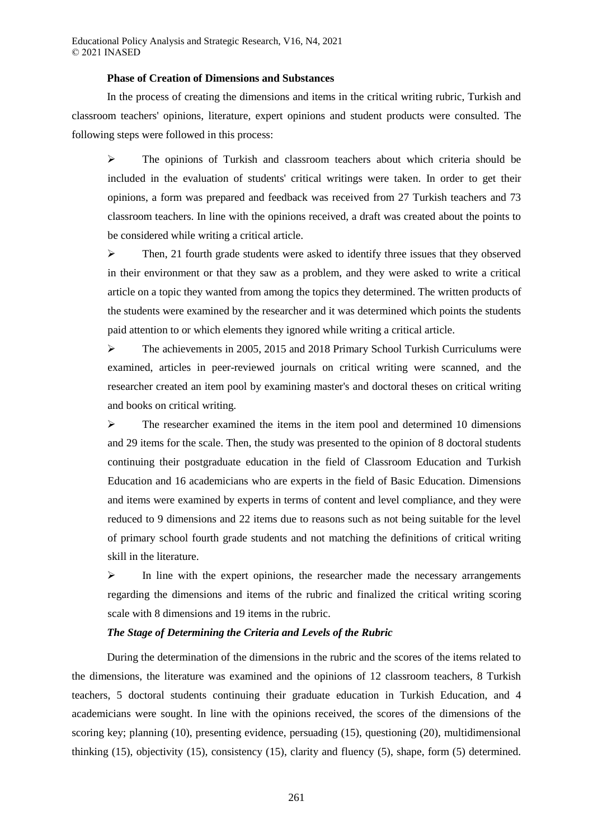#### **Phase of Creation of Dimensions and Substances**

In the process of creating the dimensions and items in the critical writing rubric, Turkish and classroom teachers' opinions, literature, expert opinions and student products were consulted. The following steps were followed in this process:

 $\triangleright$  The opinions of Turkish and classroom teachers about which criteria should be included in the evaluation of students' critical writings were taken. In order to get their opinions, a form was prepared and feedback was received from 27 Turkish teachers and 73 classroom teachers. In line with the opinions received, a draft was created about the points to be considered while writing a critical article.

 $\triangleright$  Then, 21 fourth grade students were asked to identify three issues that they observed in their environment or that they saw as a problem, and they were asked to write a critical article on a topic they wanted from among the topics they determined. The written products of the students were examined by the researcher and it was determined which points the students paid attention to or which elements they ignored while writing a critical article.

 $\triangleright$  The achievements in 2005, 2015 and 2018 Primary School Turkish Curriculums were examined, articles in peer-reviewed journals on critical writing were scanned, and the researcher created an item pool by examining master's and doctoral theses on critical writing and books on critical writing.

 $\triangleright$  The researcher examined the items in the item pool and determined 10 dimensions and 29 items for the scale. Then, the study was presented to the opinion of 8 doctoral students continuing their postgraduate education in the field of Classroom Education and Turkish Education and 16 academicians who are experts in the field of Basic Education. Dimensions and items were examined by experts in terms of content and level compliance, and they were reduced to 9 dimensions and 22 items due to reasons such as not being suitable for the level of primary school fourth grade students and not matching the definitions of critical writing skill in the literature.

 $\triangleright$  In line with the expert opinions, the researcher made the necessary arrangements regarding the dimensions and items of the rubric and finalized the critical writing scoring scale with 8 dimensions and 19 items in the rubric.

# *The Stage of Determining the Criteria and Levels of the Rubric*

During the determination of the dimensions in the rubric and the scores of the items related to the dimensions, the literature was examined and the opinions of 12 classroom teachers, 8 Turkish teachers, 5 doctoral students continuing their graduate education in Turkish Education, and 4 academicians were sought. In line with the opinions received, the scores of the dimensions of the scoring key; planning (10), presenting evidence, persuading (15), questioning (20), multidimensional thinking (15), objectivity (15), consistency (15), clarity and fluency (5), shape, form (5) determined.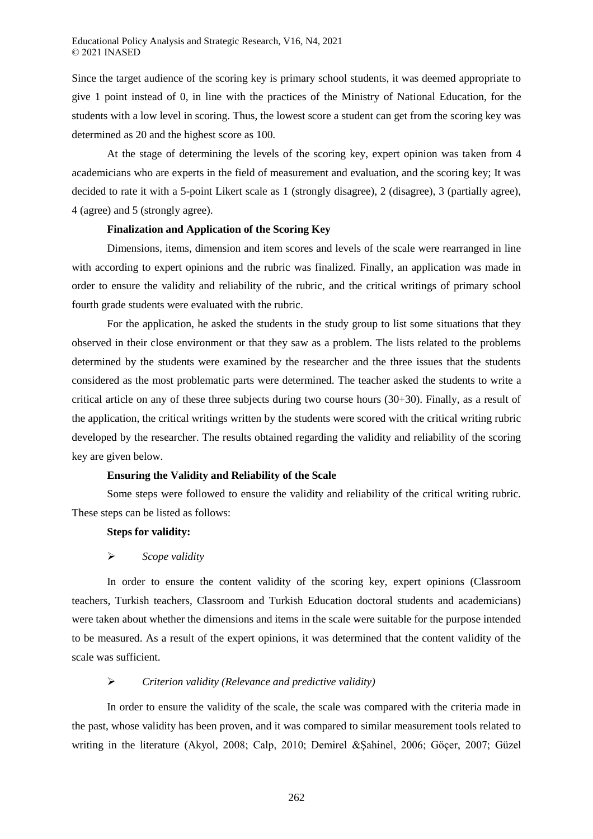Since the target audience of the scoring key is primary school students, it was deemed appropriate to give 1 point instead of 0, in line with the practices of the Ministry of National Education, for the students with a low level in scoring. Thus, the lowest score a student can get from the scoring key was determined as 20 and the highest score as 100.

At the stage of determining the levels of the scoring key, expert opinion was taken from 4 academicians who are experts in the field of measurement and evaluation, and the scoring key; It was decided to rate it with a 5-point Likert scale as 1 (strongly disagree), 2 (disagree), 3 (partially agree), 4 (agree) and 5 (strongly agree).

## **Finalization and Application of the Scoring Key**

Dimensions, items, dimension and item scores and levels of the scale were rearranged in line with according to expert opinions and the rubric was finalized. Finally, an application was made in order to ensure the validity and reliability of the rubric, and the critical writings of primary school fourth grade students were evaluated with the rubric.

For the application, he asked the students in the study group to list some situations that they observed in their close environment or that they saw as a problem. The lists related to the problems determined by the students were examined by the researcher and the three issues that the students considered as the most problematic parts were determined. The teacher asked the students to write a critical article on any of these three subjects during two course hours (30+30). Finally, as a result of the application, the critical writings written by the students were scored with the critical writing rubric developed by the researcher. The results obtained regarding the validity and reliability of the scoring key are given below.

#### **Ensuring the Validity and Reliability of the Scale**

Some steps were followed to ensure the validity and reliability of the critical writing rubric. These steps can be listed as follows:

# **Steps for validity:**

#### *Scope validity*

In order to ensure the content validity of the scoring key, expert opinions (Classroom teachers, Turkish teachers, Classroom and Turkish Education doctoral students and academicians) were taken about whether the dimensions and items in the scale were suitable for the purpose intended to be measured. As a result of the expert opinions, it was determined that the content validity of the scale was sufficient.

# *Criterion validity (Relevance and predictive validity)*

In order to ensure the validity of the scale, the scale was compared with the criteria made in the past, whose validity has been proven, and it was compared to similar measurement tools related to writing in the literature (Akyol, 2008; Calp, 2010; Demirel &Şahinel, 2006; Göçer, 2007; Güzel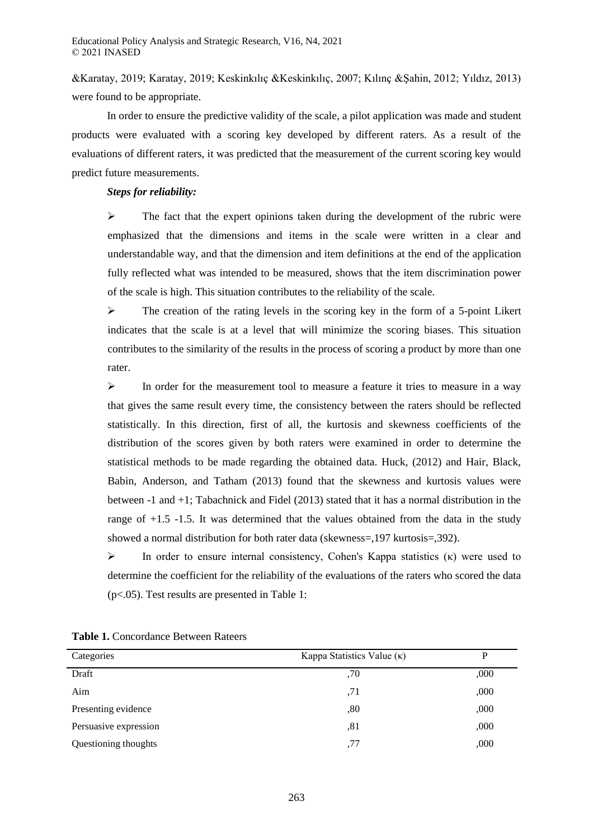&Karatay, 2019; Karatay, 2019; Keskinkılıç &Keskinkılıç, 2007; Kılınç &Şahin, 2012; Yıldız, 2013) were found to be appropriate.

In order to ensure the predictive validity of the scale, a pilot application was made and student products were evaluated with a scoring key developed by different raters. As a result of the evaluations of different raters, it was predicted that the measurement of the current scoring key would predict future measurements.

#### *Steps for reliability:*

 $\triangleright$  The fact that the expert opinions taken during the development of the rubric were emphasized that the dimensions and items in the scale were written in a clear and understandable way, and that the dimension and item definitions at the end of the application fully reflected what was intended to be measured, shows that the item discrimination power of the scale is high. This situation contributes to the reliability of the scale.

 $\triangleright$  The creation of the rating levels in the scoring key in the form of a 5-point Likert indicates that the scale is at a level that will minimize the scoring biases. This situation contributes to the similarity of the results in the process of scoring a product by more than one rater.

 $\triangleright$  In order for the measurement tool to measure a feature it tries to measure in a way that gives the same result every time, the consistency between the raters should be reflected statistically. In this direction, first of all, the kurtosis and skewness coefficients of the distribution of the scores given by both raters were examined in order to determine the statistical methods to be made regarding the obtained data. Huck, (2012) and Hair, Black, Babin, Anderson, and Tatham (2013) found that the skewness and kurtosis values were between -1 and +1; Tabachnick and Fidel (2013) stated that it has a normal distribution in the range of +1.5 -1.5. It was determined that the values obtained from the data in the study showed a normal distribution for both rater data (skewness=,197 kurtosis=,392).

In order to ensure internal consistency, Cohen's Kappa statistics  $(\kappa)$  were used to determine the coefficient for the reliability of the evaluations of the raters who scored the data (p<.05). Test results are presented in Table 1:

| Categories            | Kappa Statistics Value $(\kappa)$ |      |
|-----------------------|-----------------------------------|------|
| Draft                 | ,70                               | ,000 |
| Aim                   | .71                               | ,000 |
| Presenting evidence   | ,80                               | ,000 |
| Persuasive expression | ,81                               | ,000 |
| Questioning thoughts  | ,77                               | ,000 |

**Table 1.** Concordance Between Rateers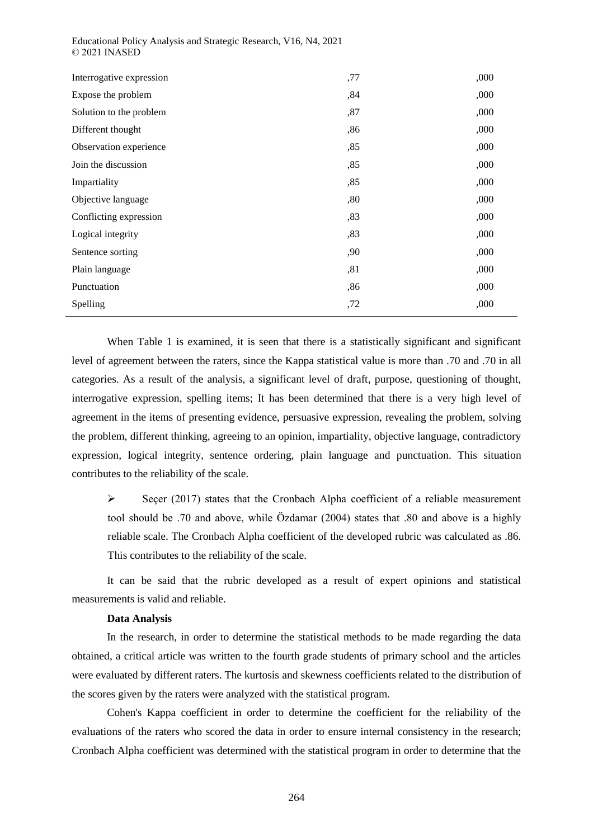| Interrogative expression | ,77 | ,000 |
|--------------------------|-----|------|
| Expose the problem       | ,84 | ,000 |
| Solution to the problem  | ,87 | ,000 |
| Different thought        | ,86 | ,000 |
| Observation experience   | ,85 | ,000 |
| Join the discussion      | ,85 | ,000 |
| Impartiality             | ,85 | ,000 |
| Objective language       | ,80 | ,000 |
| Conflicting expression   | ,83 | ,000 |
| Logical integrity        | ,83 | ,000 |
| Sentence sorting         | ,90 | ,000 |
| Plain language           | ,81 | ,000 |
| Punctuation              | ,86 | ,000 |
| Spelling                 | ,72 | ,000 |

Educational Policy Analysis and Strategic Research, V16, N4, 2021 © 2021 INASED

When Table 1 is examined, it is seen that there is a statistically significant and significant level of agreement between the raters, since the Kappa statistical value is more than .70 and .70 in all categories. As a result of the analysis, a significant level of draft, purpose, questioning of thought, interrogative expression, spelling items; It has been determined that there is a very high level of agreement in the items of presenting evidence, persuasive expression, revealing the problem, solving the problem, different thinking, agreeing to an opinion, impartiality, objective language, contradictory expression, logical integrity, sentence ordering, plain language and punctuation. This situation contributes to the reliability of the scale.

 $\triangleright$  Seçer (2017) states that the Cronbach Alpha coefficient of a reliable measurement tool should be .70 and above, while Özdamar (2004) states that .80 and above is a highly reliable scale. The Cronbach Alpha coefficient of the developed rubric was calculated as .86. This contributes to the reliability of the scale.

It can be said that the rubric developed as a result of expert opinions and statistical measurements is valid and reliable.

#### **Data Analysis**

In the research, in order to determine the statistical methods to be made regarding the data obtained, a critical article was written to the fourth grade students of primary school and the articles were evaluated by different raters. The kurtosis and skewness coefficients related to the distribution of the scores given by the raters were analyzed with the statistical program.

Cohen's Kappa coefficient in order to determine the coefficient for the reliability of the evaluations of the raters who scored the data in order to ensure internal consistency in the research; Cronbach Alpha coefficient was determined with the statistical program in order to determine that the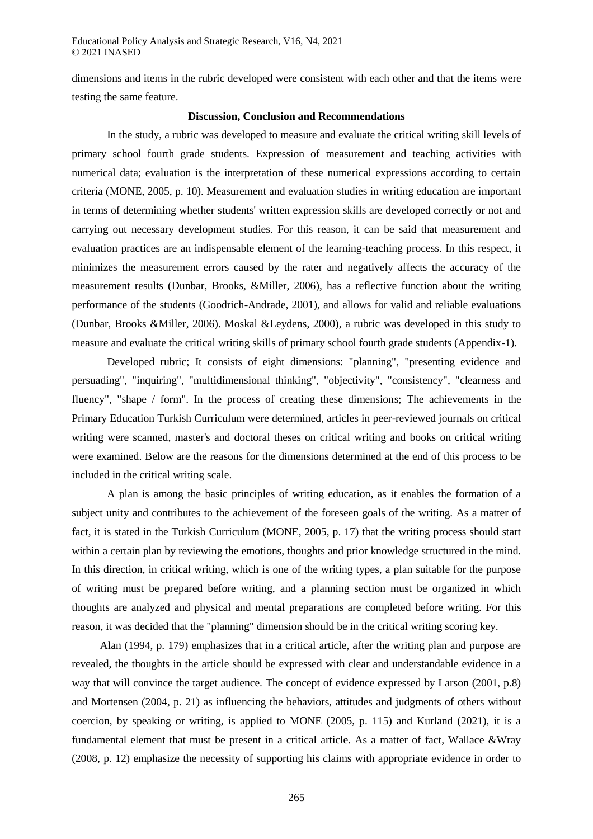dimensions and items in the rubric developed were consistent with each other and that the items were testing the same feature.

## **Discussion, Conclusion and Recommendations**

In the study, a rubric was developed to measure and evaluate the critical writing skill levels of primary school fourth grade students. Expression of measurement and teaching activities with numerical data; evaluation is the interpretation of these numerical expressions according to certain criteria (MONE, 2005, p. 10). Measurement and evaluation studies in writing education are important in terms of determining whether students' written expression skills are developed correctly or not and carrying out necessary development studies. For this reason, it can be said that measurement and evaluation practices are an indispensable element of the learning-teaching process. In this respect, it minimizes the measurement errors caused by the rater and negatively affects the accuracy of the measurement results (Dunbar, Brooks, &Miller, 2006), has a reflective function about the writing performance of the students (Goodrich-Andrade, 2001), and allows for valid and reliable evaluations (Dunbar, Brooks &Miller, 2006). Moskal &Leydens, 2000), a rubric was developed in this study to measure and evaluate the critical writing skills of primary school fourth grade students (Appendix-1).

Developed rubric; It consists of eight dimensions: "planning", "presenting evidence and persuading", "inquiring", "multidimensional thinking", "objectivity", "consistency", "clearness and fluency", "shape / form". In the process of creating these dimensions; The achievements in the Primary Education Turkish Curriculum were determined, articles in peer-reviewed journals on critical writing were scanned, master's and doctoral theses on critical writing and books on critical writing were examined. Below are the reasons for the dimensions determined at the end of this process to be included in the critical writing scale.

A plan is among the basic principles of writing education, as it enables the formation of a subject unity and contributes to the achievement of the foreseen goals of the writing. As a matter of fact, it is stated in the Turkish Curriculum (MONE, 2005, p. 17) that the writing process should start within a certain plan by reviewing the emotions, thoughts and prior knowledge structured in the mind. In this direction, in critical writing, which is one of the writing types, a plan suitable for the purpose of writing must be prepared before writing, and a planning section must be organized in which thoughts are analyzed and physical and mental preparations are completed before writing. For this reason, it was decided that the "planning" dimension should be in the critical writing scoring key.

Alan (1994, p. 179) emphasizes that in a critical article, after the writing plan and purpose are revealed, the thoughts in the article should be expressed with clear and understandable evidence in a way that will convince the target audience. The concept of evidence expressed by Larson (2001, p.8) and Mortensen (2004, p. 21) as influencing the behaviors, attitudes and judgments of others without coercion, by speaking or writing, is applied to MONE (2005, p. 115) and Kurland (2021), it is a fundamental element that must be present in a critical article. As a matter of fact, Wallace &Wray (2008, p. 12) emphasize the necessity of supporting his claims with appropriate evidence in order to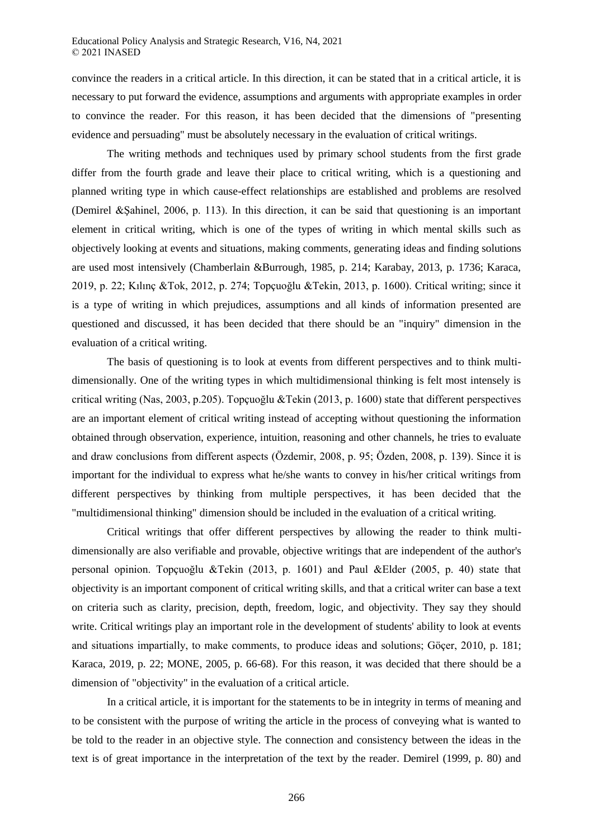convince the readers in a critical article. In this direction, it can be stated that in a critical article, it is necessary to put forward the evidence, assumptions and arguments with appropriate examples in order to convince the reader. For this reason, it has been decided that the dimensions of "presenting evidence and persuading" must be absolutely necessary in the evaluation of critical writings.

The writing methods and techniques used by primary school students from the first grade differ from the fourth grade and leave their place to critical writing, which is a questioning and planned writing type in which cause-effect relationships are established and problems are resolved (Demirel &Şahinel, 2006, p. 113). In this direction, it can be said that questioning is an important element in critical writing, which is one of the types of writing in which mental skills such as objectively looking at events and situations, making comments, generating ideas and finding solutions are used most intensively (Chamberlain &Burrough, 1985, p. 214; Karabay, 2013, p. 1736; Karaca, 2019, p. 22; Kılınç &Tok, 2012, p. 274; Topçuoğlu &Tekin, 2013, p. 1600). Critical writing; since it is a type of writing in which prejudices, assumptions and all kinds of information presented are questioned and discussed, it has been decided that there should be an "inquiry" dimension in the evaluation of a critical writing.

The basis of questioning is to look at events from different perspectives and to think multidimensionally. One of the writing types in which multidimensional thinking is felt most intensely is critical writing (Nas, 2003, p.205). Topçuoğlu &Tekin (2013, p. 1600) state that different perspectives are an important element of critical writing instead of accepting without questioning the information obtained through observation, experience, intuition, reasoning and other channels, he tries to evaluate and draw conclusions from different aspects (Özdemir, 2008, p. 95; Özden, 2008, p. 139). Since it is important for the individual to express what he/she wants to convey in his/her critical writings from different perspectives by thinking from multiple perspectives, it has been decided that the "multidimensional thinking" dimension should be included in the evaluation of a critical writing.

Critical writings that offer different perspectives by allowing the reader to think multidimensionally are also verifiable and provable, objective writings that are independent of the author's personal opinion. Topçuoğlu &Tekin (2013, p. 1601) and Paul &Elder (2005, p. 40) state that objectivity is an important component of critical writing skills, and that a critical writer can base a text on criteria such as clarity, precision, depth, freedom, logic, and objectivity. They say they should write. Critical writings play an important role in the development of students' ability to look at events and situations impartially, to make comments, to produce ideas and solutions; Göçer, 2010, p. 181; Karaca, 2019, p. 22; MONE, 2005, p. 66-68). For this reason, it was decided that there should be a dimension of "objectivity" in the evaluation of a critical article.

In a critical article, it is important for the statements to be in integrity in terms of meaning and to be consistent with the purpose of writing the article in the process of conveying what is wanted to be told to the reader in an objective style. The connection and consistency between the ideas in the text is of great importance in the interpretation of the text by the reader. Demirel (1999, p. 80) and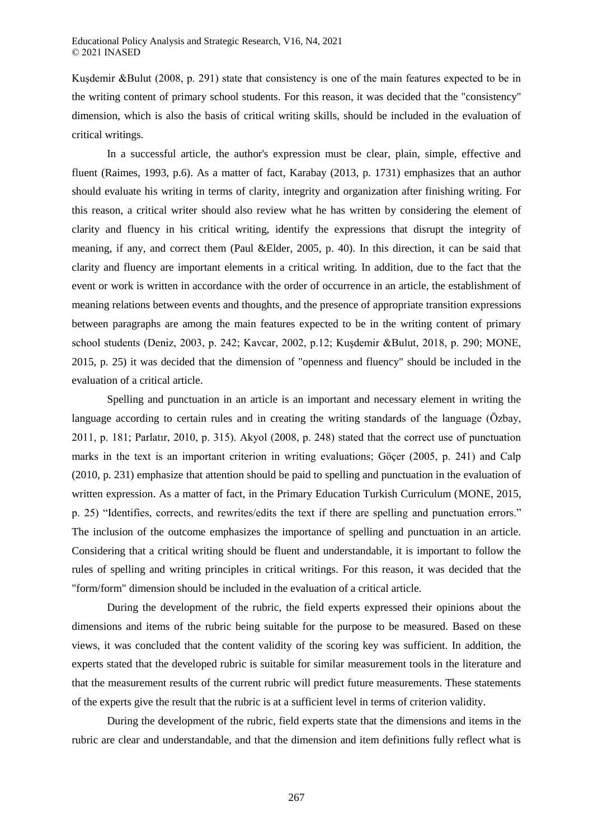Kuşdemir &Bulut (2008, p. 291) state that consistency is one of the main features expected to be in the writing content of primary school students. For this reason, it was decided that the "consistency" dimension, which is also the basis of critical writing skills, should be included in the evaluation of critical writings.

In a successful article, the author's expression must be clear, plain, simple, effective and fluent (Raimes, 1993, p.6). As a matter of fact, Karabay (2013, p. 1731) emphasizes that an author should evaluate his writing in terms of clarity, integrity and organization after finishing writing. For this reason, a critical writer should also review what he has written by considering the element of clarity and fluency in his critical writing, identify the expressions that disrupt the integrity of meaning, if any, and correct them (Paul &Elder, 2005, p. 40). In this direction, it can be said that clarity and fluency are important elements in a critical writing. In addition, due to the fact that the event or work is written in accordance with the order of occurrence in an article, the establishment of meaning relations between events and thoughts, and the presence of appropriate transition expressions between paragraphs are among the main features expected to be in the writing content of primary school students (Deniz, 2003, p. 242; Kavcar, 2002, p.12; Kuşdemir &Bulut, 2018, p. 290; MONE, 2015, p. 25) it was decided that the dimension of "openness and fluency" should be included in the evaluation of a critical article.

Spelling and punctuation in an article is an important and necessary element in writing the language according to certain rules and in creating the writing standards of the language (Özbay, 2011, p. 181; Parlatır, 2010, p. 315). Akyol (2008, p. 248) stated that the correct use of punctuation marks in the text is an important criterion in writing evaluations; Göçer (2005, p. 241) and Calp (2010, p. 231) emphasize that attention should be paid to spelling and punctuation in the evaluation of written expression. As a matter of fact, in the Primary Education Turkish Curriculum (MONE, 2015, p. 25) "Identifies, corrects, and rewrites/edits the text if there are spelling and punctuation errors." The inclusion of the outcome emphasizes the importance of spelling and punctuation in an article. Considering that a critical writing should be fluent and understandable, it is important to follow the rules of spelling and writing principles in critical writings. For this reason, it was decided that the "form/form" dimension should be included in the evaluation of a critical article.

During the development of the rubric, the field experts expressed their opinions about the dimensions and items of the rubric being suitable for the purpose to be measured. Based on these views, it was concluded that the content validity of the scoring key was sufficient. In addition, the experts stated that the developed rubric is suitable for similar measurement tools in the literature and that the measurement results of the current rubric will predict future measurements. These statements of the experts give the result that the rubric is at a sufficient level in terms of criterion validity.

During the development of the rubric, field experts state that the dimensions and items in the rubric are clear and understandable, and that the dimension and item definitions fully reflect what is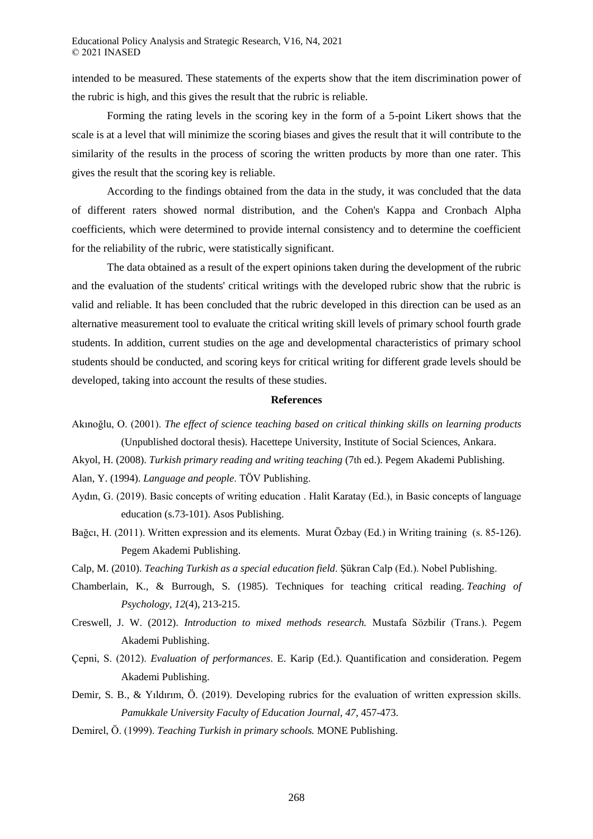intended to be measured. These statements of the experts show that the item discrimination power of the rubric is high, and this gives the result that the rubric is reliable.

Forming the rating levels in the scoring key in the form of a 5-point Likert shows that the scale is at a level that will minimize the scoring biases and gives the result that it will contribute to the similarity of the results in the process of scoring the written products by more than one rater. This gives the result that the scoring key is reliable.

According to the findings obtained from the data in the study, it was concluded that the data of different raters showed normal distribution, and the Cohen's Kappa and Cronbach Alpha coefficients, which were determined to provide internal consistency and to determine the coefficient for the reliability of the rubric, were statistically significant.

The data obtained as a result of the expert opinions taken during the development of the rubric and the evaluation of the students' critical writings with the developed rubric show that the rubric is valid and reliable. It has been concluded that the rubric developed in this direction can be used as an alternative measurement tool to evaluate the critical writing skill levels of primary school fourth grade students. In addition, current studies on the age and developmental characteristics of primary school students should be conducted, and scoring keys for critical writing for different grade levels should be developed, taking into account the results of these studies.

#### **References**

- Akınoğlu, O. (2001). *The effect of science teaching based on critical thinking skills on learning products*  (Unpublished doctoral thesis). Hacettepe University, Institute of Social Sciences, Ankara.
- Akyol, H. (2008). *Turkish primary reading and writing teaching* (7th ed.). Pegem Akademi Publishing.

Alan, Y. (1994). *Language and people*. TÖV Publishing.

- Aydın, G. (2019). Basic concepts of writing education . Halit Karatay (Ed.), in Basic concepts of language education (s.73-101). Asos Publishing.
- Bağcı, H. (2011). Written expression and its elements. Murat Özbay (Ed.) in Writing training (s. 85-126). Pegem Akademi Publishing.

Calp, M. (2010). *Teaching Turkish as a special education field*. Şükran Calp (Ed.). Nobel Publishing.

- Chamberlain, K., & Burrough, S. (1985). Techniques for teaching critical reading. *Teaching of Psychology*, *12*(4), 213-215.
- Creswell, J. W. (2012). *Introduction to mixed methods research.* Mustafa Sözbilir (Trans.). Pegem Akademi Publishing.
- Çepni, S. (2012). *Evaluation of performances*. E. Karip (Ed.). Quantification and consideration. Pegem Akademi Publishing.
- Demir, S. B., & Yıldırım, Ö. (2019). Developing rubrics for the evaluation of written expression skills. *Pamukkale University Faculty of Education Journal*, *47*, 457-473.
- Demirel, Ö. (1999). *Teaching Turkish in primary schools.* MONE Publishing.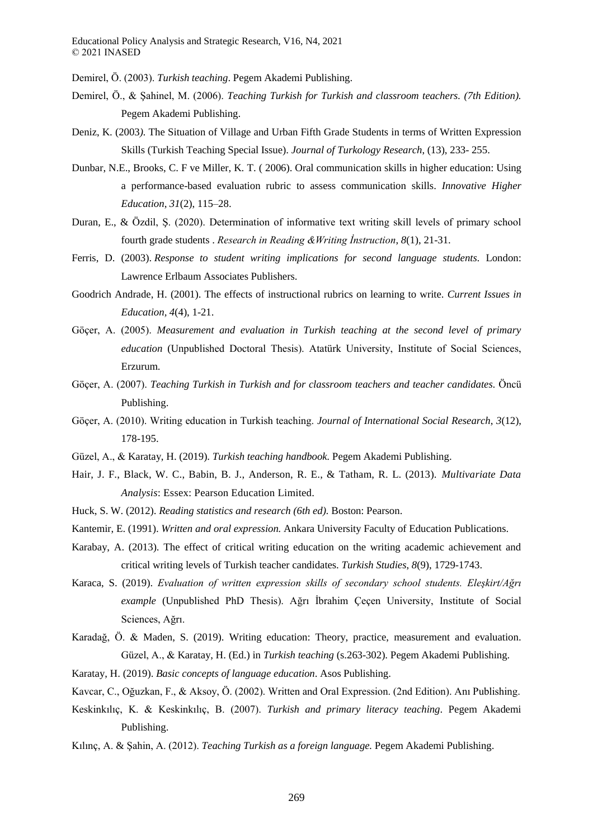Demirel, Ö. (2003). *Turkish teaching*. Pegem Akademi Publishing.

- Demirel, Ö., & Şahinel, M. (2006). *Teaching Turkish for Turkish and classroom teachers. (7th Edition).*  Pegem Akademi Publishing.
- Deniz, K. (2003*).* The Situation of Village and Urban Fifth Grade Students in terms of Written Expression Skills (Turkish Teaching Special Issue). *Journal of Turkology Research*, (13), 233- 255.
- Dunbar, N.E., Brooks, C. F ve Miller, K. T. ( 2006). Oral communication skills in higher education: Using a performance-based evaluation rubric to assess communication skills. *Innovative Higher Education*, *31*(2), 115–28.
- Duran, E., & Özdil, Ş. (2020). Determination of informative text writing skill levels of primary school fourth grade students . *Research in Reading &Writing İnstruction*, *8*(1), 21-31.
- Ferris, D. (2003). *Response to student writing implications for second language students.* London: Lawrence Erlbaum Associates Publishers.
- Goodrich Andrade, H. (2001). The effects of instructional rubrics on learning to write. *Current Issues in Education, 4*(4), 1-21.
- Göçer, A. (2005). *Measurement and evaluation in Turkish teaching at the second level of primary education* (Unpublished Doctoral Thesis). Atatürk University, Institute of Social Sciences, Erzurum.
- Göçer, A. (2007). *Teaching Turkish in Turkish and for classroom teachers and teacher candidates.* Öncü Publishing.
- Göçer, A. (2010). Writing education in Turkish teaching. *Journal of International Social Research*, *3*(12), 178-195.
- Güzel, A., & Karatay, H. (2019). *Turkish teaching handbook.* Pegem Akademi Publishing.
- Hair, J. F., Black, W. C., Babin, B. J., Anderson, R. E., & Tatham, R. L. (2013). *Multivariate Data Analysis*: Essex: Pearson Education Limited.
- Huck, S. W. (2012). *Reading statistics and research (6th ed).* Boston: Pearson.
- Kantemir, E. (1991). *Written and oral expression.* Ankara University Faculty of Education Publications.
- Karabay, A. (2013). The effect of critical writing education on the writing academic achievement and critical writing levels of Turkish teacher candidates. *Turkish Studies*, *8*(9), 1729-1743.
- Karaca, S. (2019). *Evaluation of written expression skills of secondary school students. Eleşkirt/Ağrı example* (Unpublished PhD Thesis). Ağrı İbrahim Çeçen University, Institute of Social Sciences, Ağrı.
- Karadağ, Ö. & Maden, S. (2019). Writing education: Theory, practice, measurement and evaluation. Güzel, A., & Karatay, H. (Ed.) in *Turkish teaching* (s.263-302). Pegem Akademi Publishing.
- Karatay, H. (2019). *Basic concepts of language education*. Asos Publishing.
- Kavcar, C., Oğuzkan, F., & Aksoy, Ö. (2002). Written and Oral Expression. (2nd Edition). Anı Publishing.
- Keskinkılıç, K. & Keskinkılıç, B. (2007). *Turkish and primary literacy teaching*. Pegem Akademi Publishing.
- Kılınç, A. & Şahin, A. (2012). *Teaching Turkish as a foreign language.* Pegem Akademi Publishing.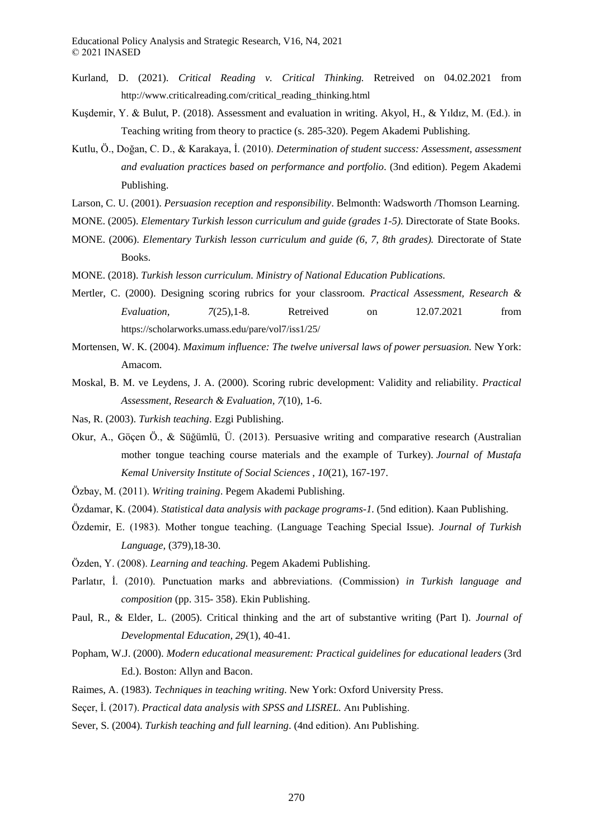- Kurland, D. (2021). *Critical Reading v. Critical Thinking.* Retreived on 04.02.2021 from http://www.criticalreading.com/critical\_reading\_thinking.html
- Kuşdemir, Y. & Bulut, P. (2018). Assessment and evaluation in writing. Akyol, H., & Yıldız, M. (Ed.). in Teaching writing from theory to practice (s. 285-320). Pegem Akademi Publishing.
- Kutlu, Ö., Doğan, C. D., & Karakaya, İ. (2010). *Determination of student success: Assessment, assessment and evaluation practices based on performance and portfolio*. (3nd edition). Pegem Akademi Publishing.
- Larson, C. U. (2001). *Persuasion reception and responsibility*. Belmonth: Wadsworth /Thomson Learning.
- MONE. (2005). *Elementary Turkish lesson curriculum and guide (grades 1-5).* Directorate of State Books.
- MONE. (2006). *Elementary Turkish lesson curriculum and guide (6, 7, 8th grades).* Directorate of State Books.
- MONE. (2018). *Turkish lesson curriculum. Ministry of National Education Publications.*
- Mertler, C. (2000). Designing scoring rubrics for your classroom. *Practical Assessment, Research & Evaluation, 7*(25),1-8. Retreived on 12.07.2021 from https://scholarworks.umass.edu/pare/vol7/iss1/25/
- Mortensen, W. K. (2004). *Maximum influence: The twelve universal laws of power persuasion.* New York: Amacom.
- Moskal, B. M. ve Leydens, J. A. (2000). Scoring rubric development: Validity and reliability. *Practical Assessment, Research & Evaluation, 7*(10), 1-6.
- Nas, R. (2003). *Turkish teaching*. Ezgi Publishing.
- Okur, A., Göçen Ö., & Süğümlü, Ü. (2013). Persuasive writing and comparative research (Australian mother tongue teaching course materials and the example of Turkey). *Journal of Mustafa Kemal University Institute of Social Sciences* , *10*(21), 167-197.
- Özbay, M. (2011). *Writing training*. Pegem Akademi Publishing.
- Özdamar, K. (2004). *Statistical data analysis with package programs-1.* (5nd edition). Kaan Publishing.
- Özdemir, E. (1983). Mother tongue teaching. (Language Teaching Special Issue). *Journal of Turkish Language,* (379),18-30.
- Özden, Y. (2008). *Learning and teaching.* Pegem Akademi Publishing.
- Parlatır, İ. (2010). Punctuation marks and abbreviations. (Commission) *in Turkish language and composition* (pp. 315- 358). Ekin Publishing.
- Paul, R., & Elder, L. (2005). Critical thinking and the art of substantive writing (Part I). *Journal of Developmental Education, 29*(1), 40-41.
- Popham, W.J. (2000). *Modern educational measurement: Practical guidelines for educational leaders* (3rd Ed.). Boston: Allyn and Bacon.
- Raimes, A. (1983). *Techniques in teaching writing*. New York: Oxford University Press.
- Seçer, İ. (2017). *Practical data analysis with SPSS and LISREL.* Anı Publishing.
- Sever, S. (2004). *Turkish teaching and full learning*. (4nd edition). Anı Publishing.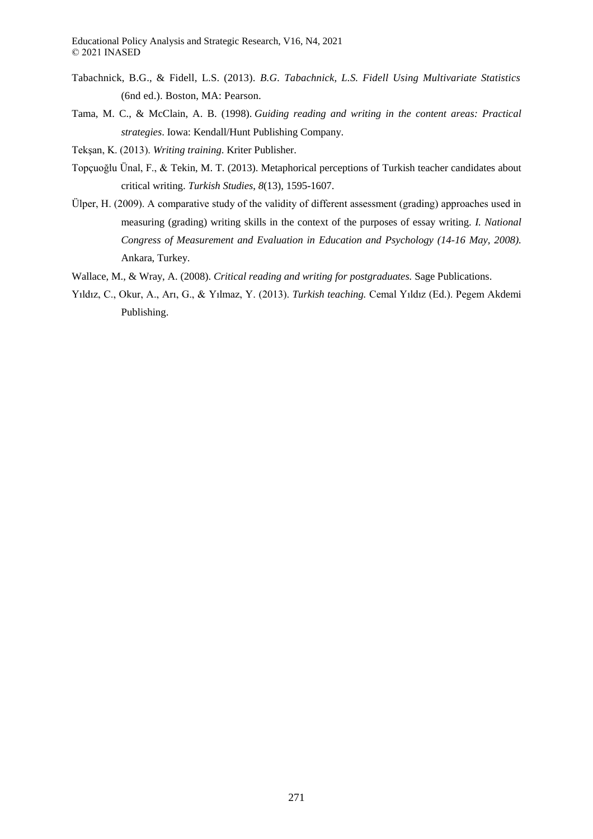- Tabachnick, B.G., & Fidell, L.S. (2013). *B.G. Tabachnick, L.S. Fidell Using Multivariate Statistics* (6nd ed.). Boston, MA: Pearson.
- Tama, M. C., & McClain, A. B. (1998). *Guiding reading and writing in the content areas: Practical strategies*. Iowa: Kendall/Hunt Publishing Company.
- Tekşan, K. (2013). *Writing training*. Kriter Publisher.
- Topçuoğlu Ünal, F., & Tekin, M. T. (2013). Metaphorical perceptions of Turkish teacher candidates about critical writing. *Turkish Studies*, *8*(13), 1595-1607.
- Ülper, H. (2009). A comparative study of the validity of different assessment (grading) approaches used in measuring (grading) writing skills in the context of the purposes of essay writing. *I. National Congress of Measurement and Evaluation in Education and Psychology (14-16 May, 2008).*  Ankara, Turkey.
- Wallace, M., & Wray, A. (2008). *Critical reading and writing for postgraduates.* Sage Publications.
- Yıldız, C., Okur, A., Arı, G., & Yılmaz, Y. (2013). *Turkish teaching.* Cemal Yıldız (Ed.). Pegem Akdemi Publishing.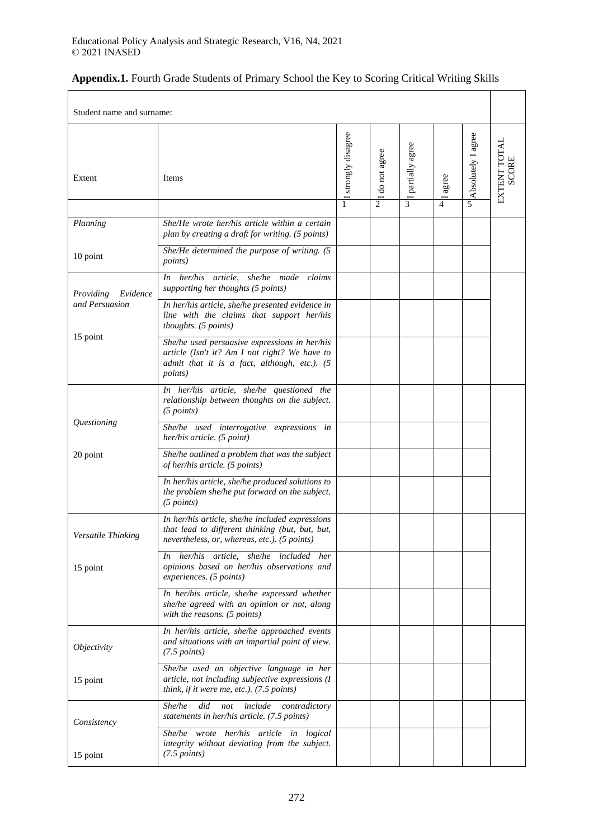| Student name and surname: |                                                                                                                                                                   |                          |                                |                        |                         |                         |                              |
|---------------------------|-------------------------------------------------------------------------------------------------------------------------------------------------------------------|--------------------------|--------------------------------|------------------------|-------------------------|-------------------------|------------------------------|
| Extent                    | Items                                                                                                                                                             | I strongly disagree<br>1 | do not agree<br>$\overline{c}$ | I partially agree<br>3 | agree<br>$\overline{4}$ | Absolutely I agree<br>5 | EXTENT TOTAL<br><b>SCORE</b> |
| Planning                  | She/He wrote her/his article within a certain<br>plan by creating a draft for writing. (5 points)                                                                 |                          |                                |                        |                         |                         |                              |
| 10 point                  | She/He determined the purpose of writing. (5<br><i>points</i> )                                                                                                   |                          |                                |                        |                         |                         |                              |
| Providing<br>Evidence     | her/his article,<br>she/he made<br>claims<br>In<br>supporting her thoughts (5 points)                                                                             |                          |                                |                        |                         |                         |                              |
| and Persuasion            | In her/his article, she/he presented evidence in<br>line with the claims that support her/his<br>thoughts. (5 points)                                             |                          |                                |                        |                         |                         |                              |
| 15 point                  | She/he used persuasive expressions in her/his<br>article (Isn't it? Am I not right? We have to<br>admit that it is a fact, although, etc.). (5<br><i>points</i> ) |                          |                                |                        |                         |                         |                              |
|                           | In her/his article, she/he questioned the<br>relationship between thoughts on the subject.<br>(5 points)                                                          |                          |                                |                        |                         |                         |                              |
| Questioning               | She/he used interrogative expressions in<br>her/his article. (5 point)                                                                                            |                          |                                |                        |                         |                         |                              |
| 20 point                  | She/he outlined a problem that was the subject<br>of her/his article. (5 points)                                                                                  |                          |                                |                        |                         |                         |                              |
|                           | In her/his article, she/he produced solutions to<br>the problem she/he put forward on the subject.<br>(5 points)                                                  |                          |                                |                        |                         |                         |                              |
| Versatile Thinking        | In her/his article, she/he included expressions<br>that lead to different thinking (but, but, but,<br>nevertheless, or, whereas, etc.). (5 points)                |                          |                                |                        |                         |                         |                              |
| 15 point                  | In her/his article, she/he included<br>her<br>opinions based on her/his observations and<br>experiences. (5 points)                                               |                          |                                |                        |                         |                         |                              |
|                           | In her/his article, she/he expressed whether<br>she/he agreed with an opinion or not, along<br>with the reasons. (5 points)                                       |                          |                                |                        |                         |                         |                              |
| <i>Objectivity</i>        | In her/his article, she/he approached events<br>and situations with an impartial point of view.<br>$(7.5 \text{ points})$                                         |                          |                                |                        |                         |                         |                              |
| 15 point                  | She/he used an objective language in her<br>article, not including subjective expressions (I<br>think, if it were me, etc.). (7.5 points)                         |                          |                                |                        |                         |                         |                              |
| Consistency               | did<br>include<br>She/he<br>not<br>contradictory<br>statements in her/his article. (7.5 points)                                                                   |                          |                                |                        |                         |                         |                              |
| 15 point                  | She/he wrote her/his article in logical<br>integrity without deviating from the subject.<br>$(7.5$ points)                                                        |                          |                                |                        |                         |                         |                              |

# **Appendix.1.** Fourth Grade Students of Primary School the Key to Scoring Critical Writing Skills